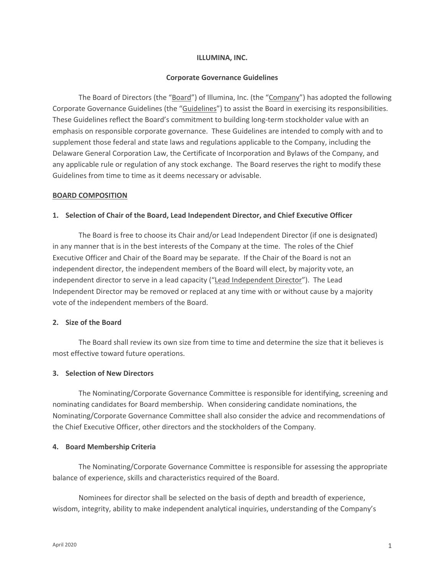### **ILLUMINA, INC.**

### **Corporate Governance Guidelines**

The Board of Directors (the "Board") of Illumina, Inc. (the "Company") has adopted the following Corporate Governance Guidelines (the "Guidelines") to assist the Board in exercising its responsibilities. These Guidelines reflect the Board's commitment to building long-term stockholder value with an emphasis on responsible corporate governance. These Guidelines are intended to comply with and to supplement those federal and state laws and regulations applicable to the Company, including the Delaware General Corporation Law, the Certificate of Incorporation and Bylaws of the Company, and any applicable rule or regulation of any stock exchange. The Board reserves the right to modify these Guidelines from time to time as it deems necessary or advisable.

### **BOARD COMPOSITION**

### **1. Selection of Chair of the Board, Lead Independent Director, and Chief Executive Officer**

The Board is free to choose its Chair and/or Lead Independent Director (if one is designated) in any manner that is in the best interests of the Company at the time. The roles of the Chief Executive Officer and Chair of the Board may be separate. If the Chair of the Board is not an independent director, the independent members of the Board will elect, by majority vote, an independent director to serve in a lead capacity ("Lead Independent Director"). The Lead Independent Director may be removed or replaced at any time with or without cause by a majority vote of the independent members of the Board.

# **2. Size of the Board**

The Board shall review its own size from time to time and determine the size that it believes is most effective toward future operations.

#### **3. Selection of New Directors**

The Nominating/Corporate Governance Committee is responsible for identifying, screening and nominating candidates for Board membership. When considering candidate nominations, the Nominating/Corporate Governance Committee shall also consider the advice and recommendations of the Chief Executive Officer, other directors and the stockholders of the Company.

#### **4. Board Membership Criteria**

The Nominating/Corporate Governance Committee is responsible for assessing the appropriate balance of experience, skills and characteristics required of the Board.

Nominees for director shall be selected on the basis of depth and breadth of experience, wisdom, integrity, ability to make independent analytical inquiries, understanding of the Company's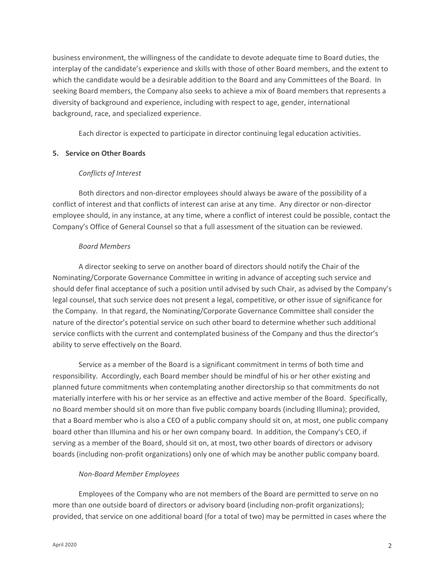business environment, the willingness of the candidate to devote adequate time to Board duties, the interplay of the candidate's experience and skills with those of other Board members, and the extent to which the candidate would be a desirable addition to the Board and any Committees of the Board. In seeking Board members, the Company also seeks to achieve a mix of Board members that represents a diversity of background and experience, including with respect to age, gender, international background, race, and specialized experience.

Each director is expected to participate in director continuing legal education activities.

# **5. Service on Other Boards**

# *Conflicts of Interest*

Both directors and non-director employees should always be aware of the possibility of a conflict of interest and that conflicts of interest can arise at any time. Any director or non-director employee should, in any instance, at any time, where a conflict of interest could be possible, contact the Company's Office of General Counsel so that a full assessment of the situation can be reviewed.

# *Board Members*

A director seeking to serve on another board of directors should notify the Chair of the Nominating/Corporate Governance Committee in writing in advance of accepting such service and should defer final acceptance of such a position until advised by such Chair, as advised by the Company's legal counsel, that such service does not present a legal, competitive, or other issue of significance for the Company. In that regard, the Nominating/Corporate Governance Committee shall consider the nature of the director's potential service on such other board to determine whether such additional service conflicts with the current and contemplated business of the Company and thus the director's ability to serve effectively on the Board.

Service as a member of the Board is a significant commitment in terms of both time and responsibility. Accordingly, each Board member should be mindful of his or her other existing and planned future commitments when contemplating another directorship so that commitments do not materially interfere with his or her service as an effective and active member of the Board. Specifically, no Board member should sit on more than five public company boards (including Illumina); provided, that a Board member who is also a CEO of a public company should sit on, at most, one public company board other than Illumina and his or her own company board. In addition, the Company's CEO, if serving as a member of the Board, should sit on, at most, two other boards of directors or advisory boards (including non-profit organizations) only one of which may be another public company board.

# *Non-Board Member Employees*

Employees of the Company who are not members of the Board are permitted to serve on no more than one outside board of directors or advisory board (including non-profit organizations); provided, that service on one additional board (for a total of two) may be permitted in cases where the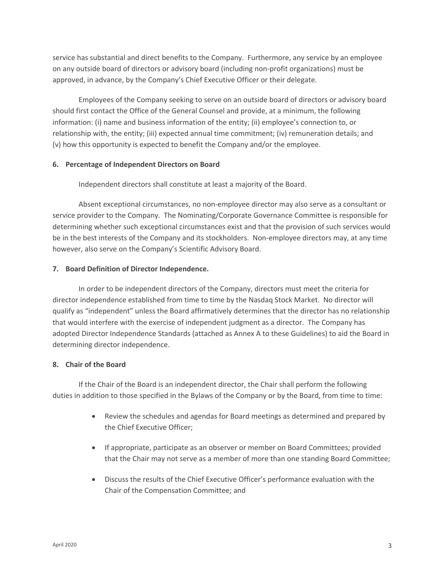service has substantial and direct benefits to the Company. Furthermore, any service by an employee on any outside board of directors or advisory board (including non-profit organizations) must be approved, in advance, by the Company's Chief Executive Officer or their delegate.

Employees of the Company seeking to serve on an outside board of directors or advisory board should first contact the Office of the General Counsel and provide, at a minimum, the following information: (i) name and business information of the entity; (ii) employee's connection to, or relationship with, the entity; (iii) expected annual time commitment; (iv) remuneration details; and (v) how this opportunity is expected to benefit the Company and/or the employee.

# **6. Percentage of Independent Directors on Board**

Independent directors shall constitute at least a majority of the Board.

Absent exceptional circumstances, no non-employee director may also serve as a consultant or service provider to the Company. The Nominating/Corporate Governance Committee is responsible for determining whether such exceptional circumstances exist and that the provision of such services would be in the best interests of the Company and its stockholders. Non-employee directors may, at any time however, also serve on the Company's Scientific Advisory Board.

# **7. Board Definition of Director Independence.**

In order to be independent directors of the Company, directors must meet the criteria for director independence established from time to time by the Nasdaq Stock Market. No director will qualify as "independent" unless the Board affirmatively determines that the director has no relationship that would interfere with the exercise of independent judgment as a director. The Company has adopted Director Independence Standards (attached as Annex A to these Guidelines) to aid the Board in determining director independence.

# **8. Chair of the Board**

If the Chair of the Board is an independent director, the Chair shall perform the following duties in addition to those specified in the Bylaws of the Company or by the Board, from time to time:

- Review the schedules and agendas for Board meetings as determined and prepared by the Chief Executive Officer;
- If appropriate, participate as an observer or member on Board Committees; provided that the Chair may not serve as a member of more than one standing Board Committee;
- Discuss the results of the Chief Executive Officer's performance evaluation with the Chair of the Compensation Committee; and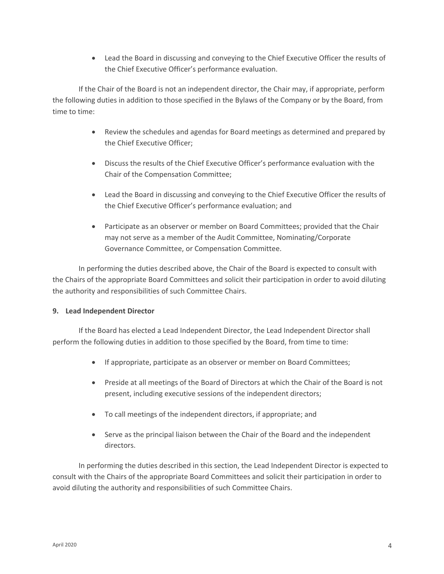• Lead the Board in discussing and conveying to the Chief Executive Officer the results of the Chief Executive Officer's performance evaluation.

If the Chair of the Board is not an independent director, the Chair may, if appropriate, perform the following duties in addition to those specified in the Bylaws of the Company or by the Board, from time to time:

- Review the schedules and agendas for Board meetings as determined and prepared by the Chief Executive Officer;
- Discuss the results of the Chief Executive Officer's performance evaluation with the Chair of the Compensation Committee;
- Lead the Board in discussing and conveying to the Chief Executive Officer the results of the Chief Executive Officer's performance evaluation; and
- Participate as an observer or member on Board Committees; provided that the Chair may not serve as a member of the Audit Committee, Nominating/Corporate Governance Committee, or Compensation Committee.

In performing the duties described above, the Chair of the Board is expected to consult with the Chairs of the appropriate Board Committees and solicit their participation in order to avoid diluting the authority and responsibilities of such Committee Chairs.

# **9. Lead Independent Director**

If the Board has elected a Lead Independent Director, the Lead Independent Director shall perform the following duties in addition to those specified by the Board, from time to time:

- If appropriate, participate as an observer or member on Board Committees;
- Preside at all meetings of the Board of Directors at which the Chair of the Board is not present, including executive sessions of the independent directors;
- To call meetings of the independent directors, if appropriate; and
- Serve as the principal liaison between the Chair of the Board and the independent directors.

In performing the duties described in this section, the Lead Independent Director is expected to consult with the Chairs of the appropriate Board Committees and solicit their participation in order to avoid diluting the authority and responsibilities of such Committee Chairs.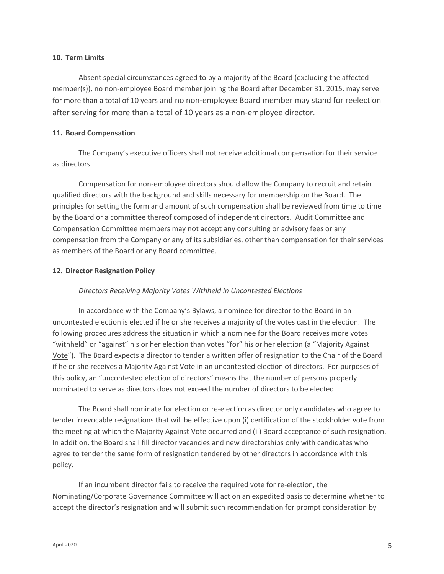### **10. Term Limits**

Absent special circumstances agreed to by a majority of the Board (excluding the affected member(s)), no non-employee Board member joining the Board after December 31, 2015, may serve for more than a total of 10 years and no non-employee Board member may stand for reelection after serving for more than a total of 10 years as a non-employee director.

### **11. Board Compensation**

The Company's executive officers shall not receive additional compensation for their service as directors.

Compensation for non-employee directors should allow the Company to recruit and retain qualified directors with the background and skills necessary for membership on the Board. The principles for setting the form and amount of such compensation shall be reviewed from time to time by the Board or a committee thereof composed of independent directors. Audit Committee and Compensation Committee members may not accept any consulting or advisory fees or any compensation from the Company or any of its subsidiaries, other than compensation for their services as members of the Board or any Board committee.

# **12. Director Resignation Policy**

# *Directors Receiving Majority Votes Withheld in Uncontested Elections*

In accordance with the Company's Bylaws, a nominee for director to the Board in an uncontested election is elected if he or she receives a majority of the votes cast in the election. The following procedures address the situation in which a nominee for the Board receives more votes "withheld" or "against" his or her election than votes "for" his or her election (a "Majority Against Vote"). The Board expects a director to tender a written offer of resignation to the Chair of the Board if he or she receives a Majority Against Vote in an uncontested election of directors. For purposes of this policy, an "uncontested election of directors" means that the number of persons properly nominated to serve as directors does not exceed the number of directors to be elected.

The Board shall nominate for election or re-election as director only candidates who agree to tender irrevocable resignations that will be effective upon (i) certification of the stockholder vote from the meeting at which the Majority Against Vote occurred and (ii) Board acceptance of such resignation. In addition, the Board shall fill director vacancies and new directorships only with candidates who agree to tender the same form of resignation tendered by other directors in accordance with this policy.

If an incumbent director fails to receive the required vote for re-election, the Nominating/Corporate Governance Committee will act on an expedited basis to determine whether to accept the director's resignation and will submit such recommendation for prompt consideration by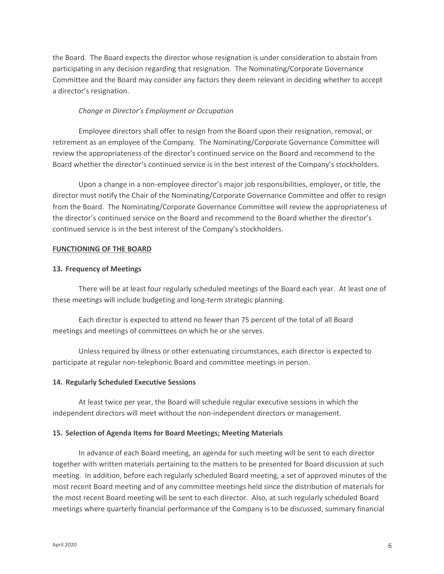the Board. The Board expects the director whose resignation is under consideration to abstain from participating in any decision regarding that resignation. The Nominating/Corporate Governance Committee and the Board may consider any factors they deem relevant in deciding whether to accept a director's resignation.

### *Change in Director's Employment or Occupation*

Employee directors shall offer to resign from the Board upon their resignation, removal, or retirement as an employee of the Company. The Nominating/Corporate Governance Committee will review the appropriateness of the director's continued service on the Board and recommend to the Board whether the director's continued service is in the best interest of the Company's stockholders.

Upon a change in a non-employee director's major job responsibilities, employer, or title, the director must notify the Chair of the Nominating/Corporate Governance Committee and offer to resign from the Board. The Nominating/Corporate Governance Committee will review the appropriateness of the director's continued service on the Board and recommend to the Board whether the director's continued service is in the best interest of the Company's stockholders.

### **FUNCTIONING OF THE BOARD**

### **13. Frequency of Meetings**

There will be at least four regularly scheduled meetings of the Board each year. At least one of these meetings will include budgeting and long-term strategic planning.

Each director is expected to attend no fewer than 75 percent of the total of all Board meetings and meetings of committees on which he or she serves.

Unless required by illness or other extenuating circumstances, each director is expected to participate at regular non-telephonic Board and committee meetings in person.

#### **14. Regularly Scheduled Executive Sessions**

At least twice per year, the Board will schedule regular executive sessions in which the independent directors will meet without the non-independent directors or management.

#### **15. Selection of Agenda Items for Board Meetings; Meeting Materials**

In advance of each Board meeting, an agenda for such meeting will be sent to each director together with written materials pertaining to the matters to be presented for Board discussion at such meeting. In addition, before each regularly scheduled Board meeting, a set of approved minutes of the most recent Board meeting and of any committee meetings held since the distribution of materials for the most recent Board meeting will be sent to each director. Also, at such regularly scheduled Board meetings where quarterly financial performance of the Company is to be discussed, summary financial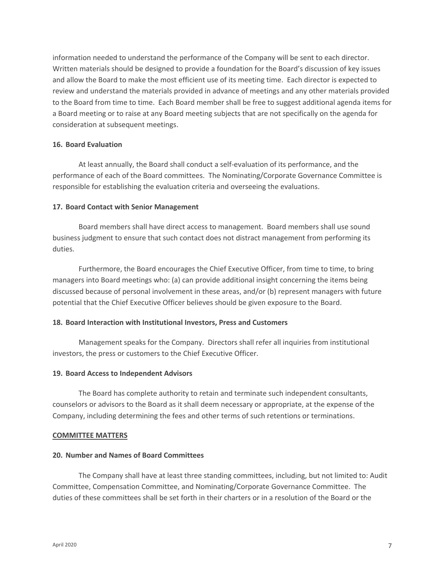information needed to understand the performance of the Company will be sent to each director. Written materials should be designed to provide a foundation for the Board's discussion of key issues and allow the Board to make the most efficient use of its meeting time. Each director is expected to review and understand the materials provided in advance of meetings and any other materials provided to the Board from time to time. Each Board member shall be free to suggest additional agenda items for a Board meeting or to raise at any Board meeting subjects that are not specifically on the agenda for consideration at subsequent meetings.

# **16. Board Evaluation**

At least annually, the Board shall conduct a self-evaluation of its performance, and the performance of each of the Board committees. The Nominating/Corporate Governance Committee is responsible for establishing the evaluation criteria and overseeing the evaluations.

### **17. Board Contact with Senior Management**

Board members shall have direct access to management. Board members shall use sound business judgment to ensure that such contact does not distract management from performing its duties.

Furthermore, the Board encourages the Chief Executive Officer, from time to time, to bring managers into Board meetings who: (a) can provide additional insight concerning the items being discussed because of personal involvement in these areas, and/or (b) represent managers with future potential that the Chief Executive Officer believes should be given exposure to the Board.

# **18. Board Interaction with Institutional Investors, Press and Customers**

Management speaks for the Company. Directors shall refer all inquiries from institutional investors, the press or customers to the Chief Executive Officer.

#### **19. Board Access to Independent Advisors**

The Board has complete authority to retain and terminate such independent consultants, counselors or advisors to the Board as it shall deem necessary or appropriate, at the expense of the Company, including determining the fees and other terms of such retentions or terminations.

#### **COMMITTEE MATTERS**

#### **20. Number and Names of Board Committees**

The Company shall have at least three standing committees, including, but not limited to: Audit Committee, Compensation Committee, and Nominating/Corporate Governance Committee. The duties of these committees shall be set forth in their charters or in a resolution of the Board or the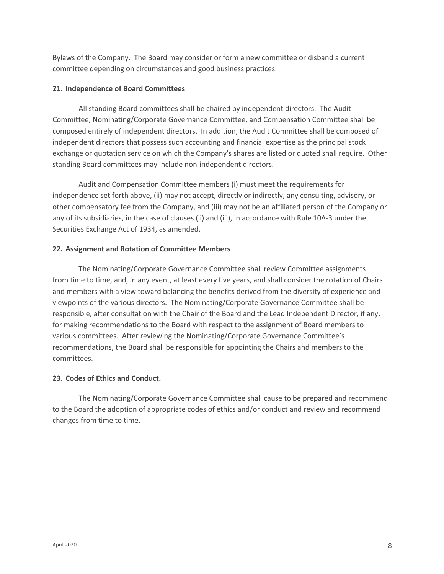Bylaws of the Company. The Board may consider or form a new committee or disband a current committee depending on circumstances and good business practices.

# **21. Independence of Board Committees**

All standing Board committees shall be chaired by independent directors. The Audit Committee, Nominating/Corporate Governance Committee, and Compensation Committee shall be composed entirely of independent directors. In addition, the Audit Committee shall be composed of independent directors that possess such accounting and financial expertise as the principal stock exchange or quotation service on which the Company's shares are listed or quoted shall require. Other standing Board committees may include non-independent directors.

Audit and Compensation Committee members (i) must meet the requirements for independence set forth above, (ii) may not accept, directly or indirectly, any consulting, advisory, or other compensatory fee from the Company, and (iii) may not be an affiliated person of the Company or any of its subsidiaries, in the case of clauses (ii) and (iii), in accordance with Rule 10A-3 under the Securities Exchange Act of 1934, as amended.

# **22. Assignment and Rotation of Committee Members**

The Nominating/Corporate Governance Committee shall review Committee assignments from time to time, and, in any event, at least every five years, and shall consider the rotation of Chairs and members with a view toward balancing the benefits derived from the diversity of experience and viewpoints of the various directors. The Nominating/Corporate Governance Committee shall be responsible, after consultation with the Chair of the Board and the Lead Independent Director, if any, for making recommendations to the Board with respect to the assignment of Board members to various committees. After reviewing the Nominating/Corporate Governance Committee's recommendations, the Board shall be responsible for appointing the Chairs and members to the committees.

# **23. Codes of Ethics and Conduct.**

The Nominating/Corporate Governance Committee shall cause to be prepared and recommend to the Board the adoption of appropriate codes of ethics and/or conduct and review and recommend changes from time to time.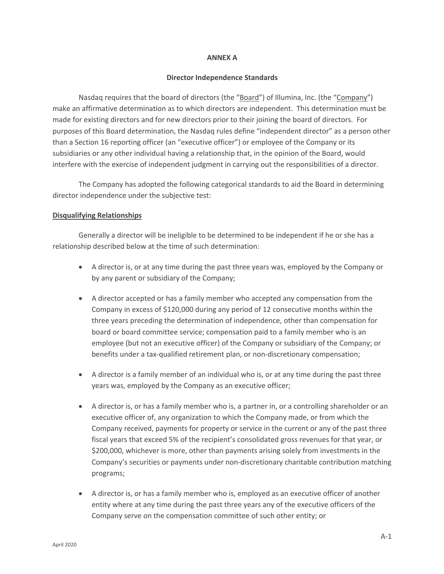#### **ANNEX A**

#### **Director Independence Standards**

Nasdaq requires that the board of directors (the "Board") of Illumina, Inc. (the "Company") make an affirmative determination as to which directors are independent. This determination must be made for existing directors and for new directors prior to their joining the board of directors. For purposes of this Board determination, the Nasdaq rules define "independent director" as a person other than a Section 16 reporting officer (an "executive officer") or employee of the Company or its subsidiaries or any other individual having a relationship that, in the opinion of the Board, would interfere with the exercise of independent judgment in carrying out the responsibilities of a director.

The Company has adopted the following categorical standards to aid the Board in determining director independence under the subjective test:

#### **Disqualifying Relationships**

Generally a director will be ineligible to be determined to be independent if he or she has a relationship described below at the time of such determination:

- A director is, or at any time during the past three years was, employed by the Company or by any parent or subsidiary of the Company;
- A director accepted or has a family member who accepted any compensation from the Company in excess of \$120,000 during any period of 12 consecutive months within the three years preceding the determination of independence, other than compensation for board or board committee service; compensation paid to a family member who is an employee (but not an executive officer) of the Company or subsidiary of the Company; or benefits under a tax-qualified retirement plan, or non-discretionary compensation;
- A director is a family member of an individual who is, or at any time during the past three years was, employed by the Company as an executive officer;
- A director is, or has a family member who is, a partner in, or a controlling shareholder or an executive officer of, any organization to which the Company made, or from which the Company received, payments for property or service in the current or any of the past three fiscal years that exceed 5% of the recipient's consolidated gross revenues for that year, or \$200,000, whichever is more, other than payments arising solely from investments in the Company's securities or payments under non-discretionary charitable contribution matching programs;
- A director is, or has a family member who is, employed as an executive officer of another entity where at any time during the past three years any of the executive officers of the Company serve on the compensation committee of such other entity; or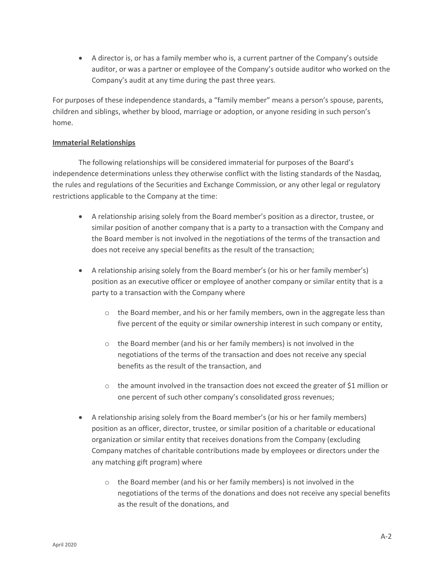• A director is, or has a family member who is, a current partner of the Company's outside auditor, or was a partner or employee of the Company's outside auditor who worked on the Company's audit at any time during the past three years.

For purposes of these independence standards, a "family member" means a person's spouse, parents, children and siblings, whether by blood, marriage or adoption, or anyone residing in such person's home.

# **Immaterial Relationships**

The following relationships will be considered immaterial for purposes of the Board's independence determinations unless they otherwise conflict with the listing standards of the Nasdaq, the rules and regulations of the Securities and Exchange Commission, or any other legal or regulatory restrictions applicable to the Company at the time:

- A relationship arising solely from the Board member's position as a director, trustee, or similar position of another company that is a party to a transaction with the Company and the Board member is not involved in the negotiations of the terms of the transaction and does not receive any special benefits as the result of the transaction;
- A relationship arising solely from the Board member's (or his or her family member's) position as an executive officer or employee of another company or similar entity that is a party to a transaction with the Company where
	- $\circ$  the Board member, and his or her family members, own in the aggregate less than five percent of the equity or similar ownership interest in such company or entity,
	- o the Board member (and his or her family members) is not involved in the negotiations of the terms of the transaction and does not receive any special benefits as the result of the transaction, and
	- $\circ$  the amount involved in the transaction does not exceed the greater of \$1 million or one percent of such other company's consolidated gross revenues;
- A relationship arising solely from the Board member's (or his or her family members) position as an officer, director, trustee, or similar position of a charitable or educational organization or similar entity that receives donations from the Company (excluding Company matches of charitable contributions made by employees or directors under the any matching gift program) where
	- o the Board member (and his or her family members) is not involved in the negotiations of the terms of the donations and does not receive any special benefits as the result of the donations, and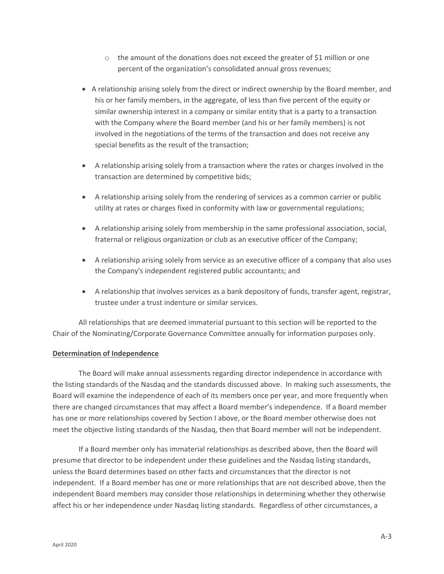- $\circ$  the amount of the donations does not exceed the greater of \$1 million or one percent of the organization's consolidated annual gross revenues;
- A relationship arising solely from the direct or indirect ownership by the Board member, and his or her family members, in the aggregate, of less than five percent of the equity or similar ownership interest in a company or similar entity that is a party to a transaction with the Company where the Board member (and his or her family members) is not involved in the negotiations of the terms of the transaction and does not receive any special benefits as the result of the transaction;
- A relationship arising solely from a transaction where the rates or charges involved in the transaction are determined by competitive bids;
- A relationship arising solely from the rendering of services as a common carrier or public utility at rates or charges fixed in conformity with law or governmental regulations;
- A relationship arising solely from membership in the same professional association, social, fraternal or religious organization or club as an executive officer of the Company;
- A relationship arising solely from service as an executive officer of a company that also uses the Company's independent registered public accountants; and
- A relationship that involves services as a bank depository of funds, transfer agent, registrar, trustee under a trust indenture or similar services.

All relationships that are deemed immaterial pursuant to this section will be reported to the Chair of the Nominating/Corporate Governance Committee annually for information purposes only.

# **Determination of Independence**

The Board will make annual assessments regarding director independence in accordance with the listing standards of the Nasdaq and the standards discussed above. In making such assessments, the Board will examine the independence of each of its members once per year, and more frequently when there are changed circumstances that may affect a Board member's independence. If a Board member has one or more relationships covered by Section I above, or the Board member otherwise does not meet the objective listing standards of the Nasdaq, then that Board member will not be independent.

If a Board member only has immaterial relationships as described above, then the Board will presume that director to be independent under these guidelines and the Nasdaq listing standards, unless the Board determines based on other facts and circumstances that the director is not independent. If a Board member has one or more relationships that are not described above, then the independent Board members may consider those relationships in determining whether they otherwise affect his or her independence under Nasdaq listing standards. Regardless of other circumstances, a